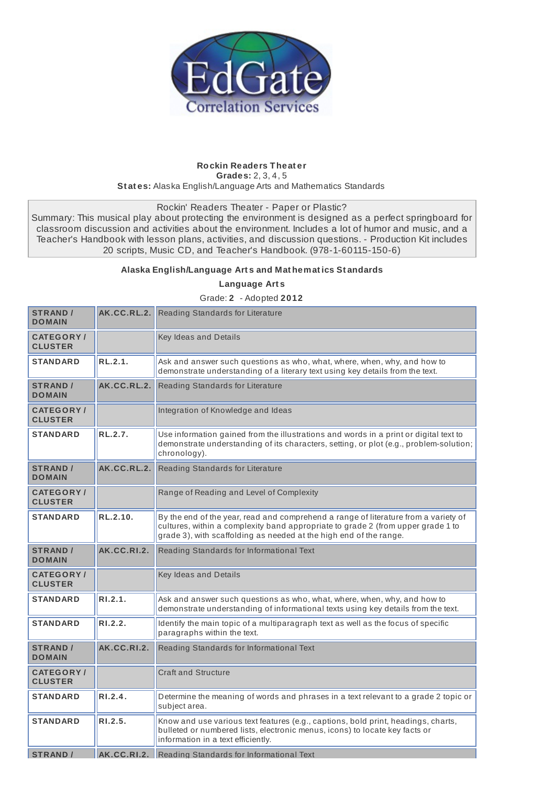

## **Rockin Readers Theat er Grades:** 2, 3, 4, 5 **St at es:** Alaska English/Language Arts and Mathematics Standards

Rockin' Readers Theater - Paper or Plastic?

Summary: This musical play about protecting the environment is designed as a perfect springboard for classroom discussion and activities about the environment. Includes a lot of humor and music, and a Teacher's Handbook with lesson plans, activities, and discussion questions. - Production Kit includes 20 scripts, Music CD, and Teacher's Handbook. (978-1-60115-150-6)

## **Alaska English/Language Art s and Mat hemat ics St andards**

**Language Art s**

Grade: **2** - Adopted **2012**

| <b>STRAND /</b><br><b>DOMAIN</b>    |             | <b>AK.CC.RL.2.</b> Reading Standards for Literature                                                                                                                                                                                           |
|-------------------------------------|-------------|-----------------------------------------------------------------------------------------------------------------------------------------------------------------------------------------------------------------------------------------------|
| <b>CATEGORY</b> /<br><b>CLUSTER</b> |             | Key Ideas and Details                                                                                                                                                                                                                         |
| <b>STANDARD</b>                     | RL.2.1.     | Ask and answer such questions as who, what, where, when, why, and how to<br>demonstrate understanding of a literary text using key details from the text.                                                                                     |
| <b>STRAND /</b><br><b>DOMAIN</b>    | AK.CC.RL.2. | Reading Standards for Literature                                                                                                                                                                                                              |
| <b>CATEGORY/</b><br><b>CLUSTER</b>  |             | Integration of Knowledge and Ideas                                                                                                                                                                                                            |
| <b>STANDARD</b>                     | RL.2.7.     | Use information gained from the illustrations and words in a print or digital text to<br>demonstrate understanding of its characters, setting, or plot (e.g., problem-solution;<br>chronology).                                               |
| <b>STRAND /</b><br><b>DOMAIN</b>    | AK.CC.RL.2. | Reading Standards for Literature                                                                                                                                                                                                              |
| <b>CATEGORY/</b><br><b>CLUSTER</b>  |             | Range of Reading and Level of Complexity                                                                                                                                                                                                      |
| <b>STANDARD</b>                     | RL.2.10.    | By the end of the year, read and comprehend a range of literature from a variety of<br>cultures, within a complexity band appropriate to grade 2 (from upper grade 1 to<br>grade 3), with scaffolding as needed at the high end of the range. |
| <b>STRAND /</b><br><b>DOMAIN</b>    | AK.CC.RI.2. | Reading Standards for Informational Text                                                                                                                                                                                                      |
| <b>CATEGORY/</b><br><b>CLUSTER</b>  |             | Key Ideas and Details                                                                                                                                                                                                                         |
| <b>STANDARD</b>                     | R1.2.1.     | Ask and answer such questions as who, what, where, when, why, and how to<br>demonstrate understanding of informational texts using key details from the text.                                                                                 |
| <b>STANDARD</b>                     | RI.2.2.     | Identify the main topic of a multiparagraph text as well as the focus of specific<br>paragraphs within the text.                                                                                                                              |
| <b>STRAND</b> /<br><b>DOMAIN</b>    | AK.CC.RI.2. | Reading Standards for Informational Text                                                                                                                                                                                                      |
| <b>CATEGORY/</b><br><b>CLUSTER</b>  |             | <b>Craft and Structure</b>                                                                                                                                                                                                                    |
| <b>STANDARD</b>                     | RI.2.4.     | Determine the meaning of words and phrases in a text relevant to a grade 2 topic or<br>subject area.                                                                                                                                          |
| <b>STANDARD</b>                     | R1.2.5.     | Know and use various text features (e.g., captions, bold print, headings, charts,<br>bulleted or numbered lists, electronic menus, icons) to locate key facts or<br>information in a text efficiently.                                        |
| <b>STRAND /</b>                     | AK.CC.RI.2. | Reading Standards for Informational Text                                                                                                                                                                                                      |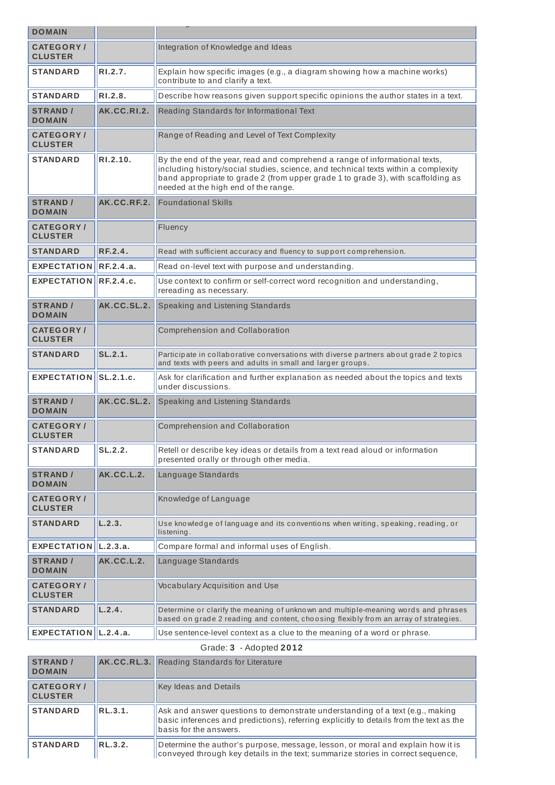| <b>DOMAIN</b>                      |                   |                                                                                                                                                                                                                                                                                               |
|------------------------------------|-------------------|-----------------------------------------------------------------------------------------------------------------------------------------------------------------------------------------------------------------------------------------------------------------------------------------------|
| <b>CATEGORY/</b>                   |                   | Integration of Knowledge and Ideas                                                                                                                                                                                                                                                            |
| <b>CLUSTER</b>                     |                   |                                                                                                                                                                                                                                                                                               |
| <b>STANDARD</b>                    | RI.2.7.           | Explain how specific images (e.g., a diagram showing how a machine works)<br>contribute to and clarify a text.                                                                                                                                                                                |
| <b>STANDARD</b>                    | RI.2.8.           | Describe how reasons given support specific opinions the author states in a text.                                                                                                                                                                                                             |
| <b>STRAND /</b><br><b>DOMAIN</b>   | AK.CC.RI.2.       | Reading Standards for Informational Text                                                                                                                                                                                                                                                      |
| <b>CATEGORY/</b><br><b>CLUSTER</b> |                   | Range of Reading and Level of Text Complexity                                                                                                                                                                                                                                                 |
| <b>STANDARD</b>                    | RI.2.10.          | By the end of the year, read and comprehend a range of informational texts,<br>including history/social studies, science, and technical texts within a complexity<br>band appropriate to grade 2 (from upper grade 1 to grade 3), with scaffolding as<br>needed at the high end of the range. |
| <b>STRAND /</b><br><b>DOMAIN</b>   | AK.CC.RF.2.       | <b>Foundational Skills</b>                                                                                                                                                                                                                                                                    |
| <b>CATEGORY/</b><br><b>CLUSTER</b> |                   | Fluency                                                                                                                                                                                                                                                                                       |
| <b>STANDARD</b>                    | RF.2.4.           | Read with sufficient accuracy and fluency to support comprehension.                                                                                                                                                                                                                           |
| EXPECTATION RF.2.4.a.              |                   | Read on-level text with purpose and understanding.                                                                                                                                                                                                                                            |
| EXPECTATION RF.2.4.c.              |                   | Use context to confirm or self-correct word recognition and understanding,<br>rereading as necessary.                                                                                                                                                                                         |
| <b>STRAND /</b><br><b>DOMAIN</b>   | AK.CC.SL.2.       | Speaking and Listening Standards                                                                                                                                                                                                                                                              |
| <b>CATEGORY/</b><br><b>CLUSTER</b> |                   | Comprehension and Collaboration                                                                                                                                                                                                                                                               |
| <b>STANDARD</b>                    | SL.2.1.           | Participate in collaborative conversations with diverse partners about grade 2 topics<br>and texts with peers and adults in small and larger groups.                                                                                                                                          |
| EXPECTATION SL.2.1.c.              |                   | Ask for clarification and further explanation as needed about the topics and texts<br>under discussions.                                                                                                                                                                                      |
| <b>STRAND /</b><br><b>DOMAIN</b>   | AK.CC.SL.2.       | Speaking and Listening Standards                                                                                                                                                                                                                                                              |
| <b>CATEGORY/</b><br><b>CLUSTER</b> |                   | Comprehension and Collaboration                                                                                                                                                                                                                                                               |
| <b>STANDARD</b>                    | SL.2.2.           | Retell or describe key ideas or details from a text read aloud or information<br>presented orally or through other media.                                                                                                                                                                     |
| <b>STRAND /</b><br><b>DOMAIN</b>   | <b>AK.CC.L.2.</b> | Language Standards                                                                                                                                                                                                                                                                            |
| <b>CATEGORY/</b><br><b>CLUSTER</b> |                   | Knowledge of Language                                                                                                                                                                                                                                                                         |
| <b>STANDARD</b>                    | L.2.3.            | Use knowledge of language and its conventions when writing, speaking, reading, or<br>listening.                                                                                                                                                                                               |
| EXPECTATION <b>LL2.3.a.</b>        |                   | Compare formal and informal uses of English.                                                                                                                                                                                                                                                  |
| <b>STRAND /</b><br><b>DOMAIN</b>   | AK.CC.L.2.        | Language Standards                                                                                                                                                                                                                                                                            |
| <b>CATEGORY/</b><br><b>CLUSTER</b> |                   | Vocabulary Acquisition and Use                                                                                                                                                                                                                                                                |
| <b>STANDARD</b>                    | L.2.4.            | Determine or clarify the meaning of unknown and multiple-meaning words and phrases<br>based on grade 2 reading and content, choosing flexibly from an array of strategies.                                                                                                                    |
| EXPECTATION $\vert$ L.2.4.a.       |                   | Use sentence-level context as a clue to the meaning of a word or phrase.                                                                                                                                                                                                                      |

| Grade: 3 | - Adopted 2012 |  |
|----------|----------------|--|
|----------|----------------|--|

| <b>STRAND</b> /<br><b>DOMAIN</b>  |                | <b>AK.CC.RL.3.</b> Reading Standards for Literature                                                                                                                                                |
|-----------------------------------|----------------|----------------------------------------------------------------------------------------------------------------------------------------------------------------------------------------------------|
| <b>CATEGORY</b><br><b>CLUSTER</b> |                | <b>Key Ideas and Details</b>                                                                                                                                                                       |
| <b>STANDARD</b>                   | RL.3.1.        | Ask and answer questions to demonstrate understanding of a text (e.g., making<br>basic inferences and predictions), referring explicitly to details from the text as the<br>basis for the answers. |
| <b>STANDARD</b>                   | <b>RL.3.2.</b> | Determine the author's purpose, message, lesson, or moral and explain how it is<br>conveyed through key details in the text; summarize stories in correct sequence,                                |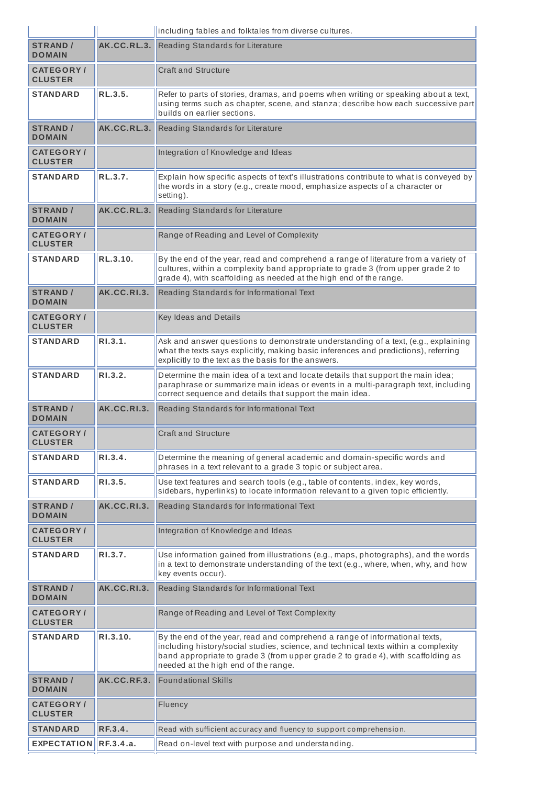|                                    |             | including fables and folktales from diverse cultures.                                                                                                                                                                                                                                         |
|------------------------------------|-------------|-----------------------------------------------------------------------------------------------------------------------------------------------------------------------------------------------------------------------------------------------------------------------------------------------|
| <b>STRAND /</b><br><b>DOMAIN</b>   | AK.CC.RL.3. | Reading Standards for Literature                                                                                                                                                                                                                                                              |
| <b>CATEGORY/</b><br><b>CLUSTER</b> |             | <b>Craft and Structure</b>                                                                                                                                                                                                                                                                    |
| <b>STANDARD</b>                    | RL.3.5.     | Refer to parts of stories, dramas, and poems when writing or speaking about a text,<br>using terms such as chapter, scene, and stanza; describe how each successive part<br>builds on earlier sections.                                                                                       |
| <b>STRAND /</b><br><b>DOMAIN</b>   | AK.CC.RL.3. | Reading Standards for Literature                                                                                                                                                                                                                                                              |
| <b>CATEGORY/</b><br><b>CLUSTER</b> |             | Integration of Knowledge and Ideas                                                                                                                                                                                                                                                            |
| <b>STANDARD</b>                    | RL.3.7.     | Explain how specific aspects of text's illustrations contribute to what is conveyed by<br>the words in a story (e.g., create mood, emphasize aspects of a character or<br>setting).                                                                                                           |
| <b>STRAND /</b><br><b>DOMAIN</b>   | AK.CC.RL.3. | Reading Standards for Literature                                                                                                                                                                                                                                                              |
| <b>CATEGORY/</b><br><b>CLUSTER</b> |             | Range of Reading and Level of Complexity                                                                                                                                                                                                                                                      |
| <b>STANDARD</b>                    | RL.3.10.    | By the end of the year, read and comprehend a range of literature from a variety of<br>cultures, within a complexity band appropriate to grade 3 (from upper grade 2 to<br>grade 4), with scaffolding as needed at the high end of the range.                                                 |
| <b>STRAND /</b><br><b>DOMAIN</b>   | AK.CC.RI.3. | Reading Standards for Informational Text                                                                                                                                                                                                                                                      |
| <b>CATEGORY/</b><br><b>CLUSTER</b> |             | Key Ideas and Details                                                                                                                                                                                                                                                                         |
| <b>STANDARD</b>                    | R1.3.1.     | Ask and answer questions to demonstrate understanding of a text, (e.g., explaining<br>what the texts says explicitly, making basic inferences and predictions), referring<br>explicitly to the text as the basis for the answers.                                                             |
| <b>STANDARD</b>                    | RI.3.2.     | Determine the main idea of a text and locate details that support the main idea;<br>paraphrase or summarize main ideas or events in a multi-paragraph text, including<br>correct sequence and details that support the main idea.                                                             |
| <b>STRAND /</b><br><b>DOMAIN</b>   | AK.CC.RI.3. | Reading Standards for Informational Text                                                                                                                                                                                                                                                      |
| <b>CATEGORY/</b><br><b>CLUSTER</b> |             | <b>Craft and Structure</b>                                                                                                                                                                                                                                                                    |
| <b>STANDARD</b>                    | R1.3.4.     | Determine the meaning of general academic and domain-specific words and<br>phrases in a text relevant to a grade 3 topic or subject area.                                                                                                                                                     |
| <b>STANDARD</b>                    | RI.3.5.     | Use text features and search tools (e.g., table of contents, index, key words,<br>sidebars, hyperlinks) to locate information relevant to a given topic efficiently.                                                                                                                          |
| <b>STRAND /</b><br><b>DOMAIN</b>   | AK.CC.RI.3. | Reading Standards for Informational Text                                                                                                                                                                                                                                                      |
| <b>CATEGORY/</b><br><b>CLUSTER</b> |             | Integration of Knowledge and Ideas                                                                                                                                                                                                                                                            |
| <b>STANDARD</b>                    | RI.3.7.     | Use information gained from illustrations (e.g., maps, photographs), and the words<br>in a text to demonstrate understanding of the text (e.g., where, when, why, and how<br>key events occur).                                                                                               |
| <b>STRAND /</b><br><b>DOMAIN</b>   | AK.CC.RI.3. | Reading Standards for Informational Text                                                                                                                                                                                                                                                      |
| <b>CATEGORY/</b><br><b>CLUSTER</b> |             | Range of Reading and Level of Text Complexity                                                                                                                                                                                                                                                 |
| <b>STANDARD</b>                    | RI.3.10.    | By the end of the year, read and comprehend a range of informational texts,<br>including history/social studies, science, and technical texts within a complexity<br>band appropriate to grade 3 (from upper grade 2 to grade 4), with scaffolding as<br>needed at the high end of the range. |
| <b>STRAND /</b><br><b>DOMAIN</b>   | AK.CC.RF.3. | <b>Foundational Skills</b>                                                                                                                                                                                                                                                                    |
| <b>CATEGORY/</b><br><b>CLUSTER</b> |             | Fluency                                                                                                                                                                                                                                                                                       |
| <b>STANDARD</b>                    | RF.3.4.     | Read with sufficient accuracy and fluency to support comprehension.                                                                                                                                                                                                                           |
| EXPECTATION <b>IRF.3.4.a.</b>      |             | Read on-level text with purpose and understanding.                                                                                                                                                                                                                                            |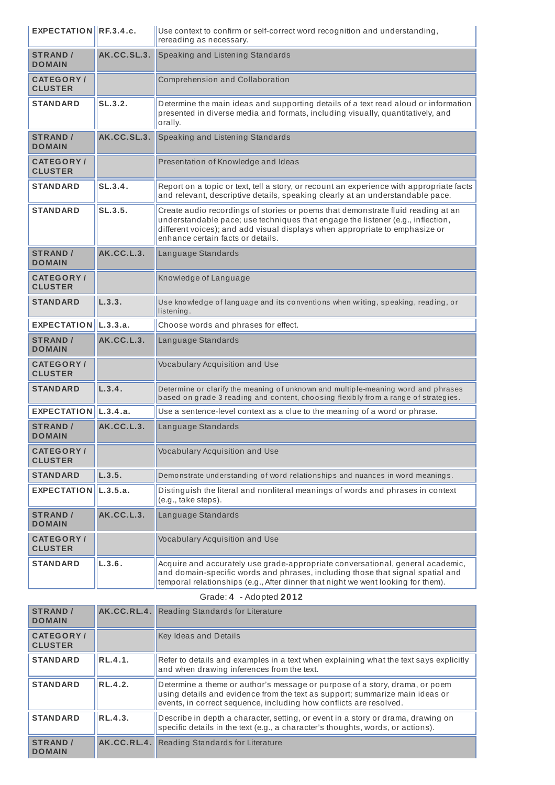| EXPECTATION RF.3.4.c.              |             | Use context to confirm or self-correct word recognition and understanding,<br>rereading as necessary.                                                                                                                                                                                   |
|------------------------------------|-------------|-----------------------------------------------------------------------------------------------------------------------------------------------------------------------------------------------------------------------------------------------------------------------------------------|
| <b>STRAND /</b><br><b>DOMAIN</b>   | AK.CC.SL.3. | Speaking and Listening Standards                                                                                                                                                                                                                                                        |
| <b>CATEGORY/</b><br><b>CLUSTER</b> |             | Comprehension and Collaboration                                                                                                                                                                                                                                                         |
| <b>STANDARD</b>                    | SL.3.2.     | Determine the main ideas and supporting details of a text read aloud or information<br>presented in diverse media and formats, including visually, quantitatively, and<br>orally.                                                                                                       |
| <b>STRAND /</b><br><b>DOMAIN</b>   | AK.CC.SL.3. | Speaking and Listening Standards                                                                                                                                                                                                                                                        |
| <b>CATEGORY/</b><br><b>CLUSTER</b> |             | Presentation of Knowledge and Ideas                                                                                                                                                                                                                                                     |
| <b>STANDARD</b>                    | SL.3.4.     | Report on a topic or text, tell a story, or recount an experience with appropriate facts<br>and relevant, descriptive details, speaking clearly at an understandable pace.                                                                                                              |
| <b>STANDARD</b>                    | SL.3.5.     | Create audio recordings of stories or poems that demonstrate fluid reading at an<br>understandable pace; use techniques that engage the listener (e.g., inflection,<br>different voices); and add visual displays when appropriate to emphasize or<br>enhance certain facts or details. |
| <b>STRAND /</b><br><b>DOMAIN</b>   | AK.CC.L.3.  | Language Standards                                                                                                                                                                                                                                                                      |
| <b>CATEGORY/</b><br><b>CLUSTER</b> |             | Knowledge of Language                                                                                                                                                                                                                                                                   |
| <b>STANDARD</b>                    | L.3.3.      | Use knowledge of language and its conventions when writing, speaking, reading, or<br>listening.                                                                                                                                                                                         |
| EXPECTATION $\vert$ L.3.3.a.       |             | Choose words and phrases for effect.                                                                                                                                                                                                                                                    |
| <b>STRAND /</b><br><b>DOMAIN</b>   | AK.CC.L.3.  | Language Standards                                                                                                                                                                                                                                                                      |
| <b>CATEGORY/</b><br><b>CLUSTER</b> |             | <b>Vocabulary Acquisition and Use</b>                                                                                                                                                                                                                                                   |
| <b>STANDARD</b>                    | L.3.4.      | Determine or clarify the meaning of unknown and multiple-meaning word and phrases<br>based on grade 3 reading and content, choosing flexibly from a range of strategies.                                                                                                                |
| EXPECTATION  L.3.4.a.              |             | Use a sentence-level context as a clue to the meaning of a word or phrase.                                                                                                                                                                                                              |
| <b>STRAND /</b><br><b>DOMAIN</b>   | AK.CC.L.3.  | Language Standards                                                                                                                                                                                                                                                                      |
| <b>CATEGORY/</b><br><b>CLUSTER</b> |             | Vocabulary Acquisition and Use                                                                                                                                                                                                                                                          |
| <b>STANDARD</b>                    | L.3.5.      | Demonstrate understanding of word relationships and nuances in word meanings.                                                                                                                                                                                                           |
| <b>EXPECTATION</b>                 | L.3.5.a.    | Distinguish the literal and nonliteral meanings of words and phrases in context<br>(e.g., take steps).                                                                                                                                                                                  |
| <b>STRAND /</b><br><b>DOMAIN</b>   | AK.CC.L.3.  | Language Standards                                                                                                                                                                                                                                                                      |
| <b>CATEGORY/</b><br><b>CLUSTER</b> |             | Vocabulary Acquisition and Use                                                                                                                                                                                                                                                          |
| <b>STANDARD</b>                    | L.3.6.      | Acquire and accurately use grade-appropriate conversational, general academic,<br>and domain-specific words and phrases, including those that signal spatial and<br>temporal relationships (e.g., After dinner that night we went looking for them).                                    |

| <b>STRAND</b> /<br><b>DOMAIN</b>   |                | <b>AK.CC.RL.4.</b> Reading Standards for Literature                                                                                                                                                                               |
|------------------------------------|----------------|-----------------------------------------------------------------------------------------------------------------------------------------------------------------------------------------------------------------------------------|
| <b>CATEGORY/</b><br><b>CLUSTER</b> |                | <b>Key Ideas and Details</b>                                                                                                                                                                                                      |
| <b>STANDARD</b>                    | RL.4.1.        | Refer to details and examples in a text when explaining what the text says explicitly<br>and when drawing inferences from the text.                                                                                               |
| <b>STANDARD</b>                    | RL.4.2.        | Determine a theme or author's message or purpose of a story, drama, or poem<br>using details and evidence from the text as support; summarize main ideas or<br>events, in correct sequence, including how conflicts are resolved. |
| <b>STANDARD</b>                    | <b>RL.4.3.</b> | Describe in depth a character, setting, or event in a story or drama, drawing on<br>specific details in the text (e.g., a character's thoughts, words, or actions).                                                               |
| <b>STRAND /</b><br><b>DOMAIN</b>   |                | AK.CC.RL.4. Reading Standards for Literature                                                                                                                                                                                      |

Grade: **4** - Adopted **2012**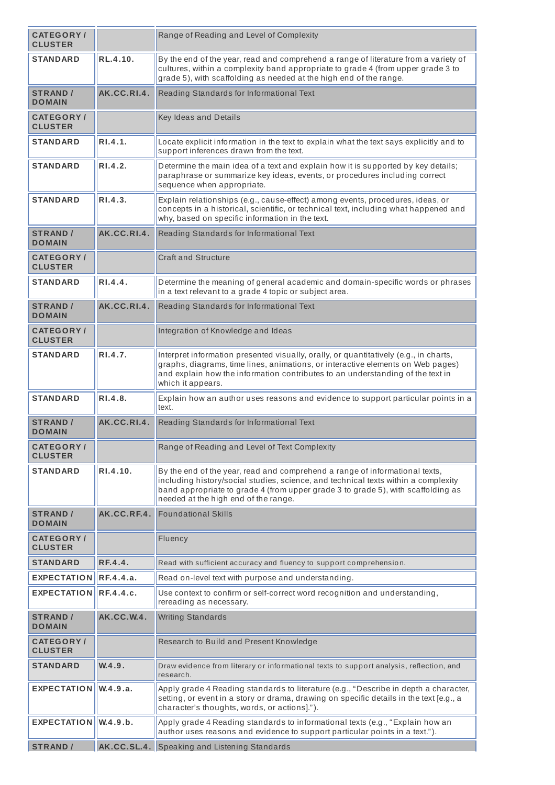| <b>CATEGORY/</b><br><b>CLUSTER</b> |                   | Range of Reading and Level of Complexity                                                                                                                                                                                                                                                      |
|------------------------------------|-------------------|-----------------------------------------------------------------------------------------------------------------------------------------------------------------------------------------------------------------------------------------------------------------------------------------------|
| <b>STANDARD</b>                    | RL.4.10.          | By the end of the year, read and comprehend a range of literature from a variety of<br>cultures, within a complexity band appropriate to grade 4 (from upper grade 3 to<br>grade 5), with scaffolding as needed at the high end of the range.                                                 |
| <b>STRAND /</b><br><b>DOMAIN</b>   | AK.CC.RI.4.       | Reading Standards for Informational Text                                                                                                                                                                                                                                                      |
| <b>CATEGORY/</b><br><b>CLUSTER</b> |                   | Key Ideas and Details                                                                                                                                                                                                                                                                         |
| <b>STANDARD</b>                    | R1.4.1.           | Locate explicit information in the text to explain what the text says explicitly and to<br>support inferences drawn from the text.                                                                                                                                                            |
| <b>STANDARD</b>                    | R1.4.2.           | Determine the main idea of a text and explain how it is supported by key details;<br>paraphrase or summarize key ideas, events, or procedures including correct<br>sequence when appropriate.                                                                                                 |
| <b>STANDARD</b>                    | R1.4.3.           | Explain relationships (e.g., cause-effect) among events, procedures, ideas, or<br>concepts in a historical, scientific, or technical text, including what happened and<br>why, based on specific information in the text.                                                                     |
| <b>STRAND /</b><br><b>DOMAIN</b>   | AK.CC.RI.4.       | Reading Standards for Informational Text                                                                                                                                                                                                                                                      |
| <b>CATEGORY/</b><br><b>CLUSTER</b> |                   | <b>Craft and Structure</b>                                                                                                                                                                                                                                                                    |
| <b>STANDARD</b>                    | R1.4.4.           | Determine the meaning of general academic and domain-specific words or phrases<br>in a text relevant to a grade 4 topic or subject area.                                                                                                                                                      |
| <b>STRAND /</b><br><b>DOMAIN</b>   | AK.CC.RI.4.       | Reading Standards for Informational Text                                                                                                                                                                                                                                                      |
| <b>CATEGORY/</b><br><b>CLUSTER</b> |                   | Integration of Knowledge and Ideas                                                                                                                                                                                                                                                            |
| <b>STANDARD</b>                    | RI.4.7.           | Interpret information presented visually, orally, or quantitatively (e.g., in charts,<br>graphs, diagrams, time lines, animations, or interactive elements on Web pages)<br>and explain how the information contributes to an understanding of the text in<br>which it appears.               |
| <b>STANDARD</b>                    | RI.4.8.           | Explain how an author uses reasons and evidence to support particular points in a<br>text.                                                                                                                                                                                                    |
| <b>STRAND /</b><br><b>DOMAIN</b>   | AK.CC.RI.4.       | Reading Standards for Informational Text                                                                                                                                                                                                                                                      |
| <b>CATEGORY/</b><br><b>CLUSTER</b> |                   | Range of Reading and Level of Text Complexity                                                                                                                                                                                                                                                 |
| <b>STANDARD</b>                    | RI.4.10.          | By the end of the year, read and comprehend a range of informational texts,<br>including history/social studies, science, and technical texts within a complexity<br>band appropriate to grade 4 (from upper grade 3 to grade 5), with scaffolding as<br>needed at the high end of the range. |
| <b>STRAND /</b><br><b>DOMAIN</b>   | AK.CC.RF.4.       | <b>Foundational Skills</b>                                                                                                                                                                                                                                                                    |
| <b>CATEGORY/</b><br><b>CLUSTER</b> |                   | Fluency                                                                                                                                                                                                                                                                                       |
| <b>STANDARD</b>                    | RF.4.4.           | Read with sufficient accuracy and fluency to support comprehension.                                                                                                                                                                                                                           |
| <b>EXPECTATION</b>                 | RF.4.4.a.         | Read on-level text with purpose and understanding.                                                                                                                                                                                                                                            |
| <b>EXPECTATION</b>                 | <b>RF.4.4.c.</b>  | Use context to confirm or self-correct word recognition and understanding,<br>rereading as necessary.                                                                                                                                                                                         |
| <b>STRAND /</b><br><b>DOMAIN</b>   | <b>AK.CC.W.4.</b> | <b>Writing Standards</b>                                                                                                                                                                                                                                                                      |
| <b>CATEGORY/</b><br><b>CLUSTER</b> |                   | Research to Build and Present Knowledge                                                                                                                                                                                                                                                       |
| <b>STANDARD</b>                    | W.4.9.            | Draw evidence from literary or informational texts to support analysis, reflection, and<br>research.                                                                                                                                                                                          |
| EXPECTATION IW.4.9.a.              |                   | Apply grade 4 Reading standards to literature (e.g., "Describe in depth a character,<br>setting, or event in a story or drama, drawing on specific details in the text [e.g., a<br>character's thoughts, words, or actions].").                                                               |
| <b>EXPECTATION</b>                 | W.4.9.b.          | Apply grade 4 Reading standards to informational texts (e.g., "Explain how an<br>author uses reasons and evidence to support particular points in a text.").                                                                                                                                  |
| <b>STRAND /</b>                    |                   | AK.CC.SL.4. Speaking and Listening Standards                                                                                                                                                                                                                                                  |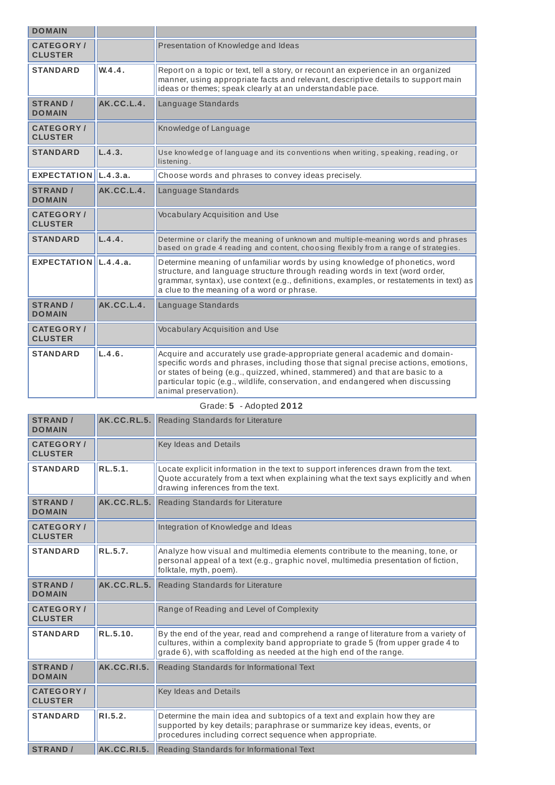| <b>DOMAIN</b>                      |            |                                                                                                                                                                                                                                                                                                                                                             |
|------------------------------------|------------|-------------------------------------------------------------------------------------------------------------------------------------------------------------------------------------------------------------------------------------------------------------------------------------------------------------------------------------------------------------|
| <b>CATEGORY/</b><br><b>CLUSTER</b> |            | Presentation of Knowledge and Ideas                                                                                                                                                                                                                                                                                                                         |
| <b>STANDARD</b>                    | W.4.4.     | Report on a topic or text, tell a story, or recount an experience in an organized<br>manner, using appropriate facts and relevant, descriptive details to support main<br>ideas or themes; speak clearly at an understandable pace.                                                                                                                         |
| <b>STRAND /</b><br><b>DOMAIN</b>   | AK.CC.L.4. | Language Standards                                                                                                                                                                                                                                                                                                                                          |
| <b>CATEGORY/</b><br><b>CLUSTER</b> |            | Knowledge of Language                                                                                                                                                                                                                                                                                                                                       |
| <b>STANDARD</b>                    | L.4.3.     | Use knowledge of language and its conventions when writing, speaking, reading, or<br>listening.                                                                                                                                                                                                                                                             |
| EXPECTATION $ L.4.3.a.$            |            | Choose words and phrases to convey ideas precisely.                                                                                                                                                                                                                                                                                                         |
| <b>STRAND /</b><br><b>DOMAIN</b>   | AK.CC.L.4. | Language Standards                                                                                                                                                                                                                                                                                                                                          |
| <b>CATEGORY/</b><br><b>CLUSTER</b> |            | Vocabulary Acquisition and Use                                                                                                                                                                                                                                                                                                                              |
| <b>STANDARD</b>                    | L.4.4.     | Determine or clarify the meaning of unknown and multiple-meaning words and phrases<br>based on grade 4 reading and content, choosing flexibly from a range of strategies.                                                                                                                                                                                   |
| EXPECTATION $\vert$ L.4.4.a.       |            | Determine meaning of unfamiliar words by using knowledge of phonetics, word<br>structure, and language structure through reading words in text (word order,<br>grammar, syntax), use context (e.g., definitions, examples, or restatements in text) as<br>a clue to the meaning of a word or phrase.                                                        |
| <b>STRAND /</b><br><b>DOMAIN</b>   | AK.CC.L.4. | Language Standards                                                                                                                                                                                                                                                                                                                                          |
| <b>CATEGORY/</b><br><b>CLUSTER</b> |            | <b>Vocabulary Acquisition and Use</b>                                                                                                                                                                                                                                                                                                                       |
| <b>STANDARD</b>                    | L.4.6.     | Acquire and accurately use grade-appropriate general academic and domain-<br>specific words and phrases, including those that signal precise actions, emotions,<br>or states of being (e.g., quizzed, whined, stammered) and that are basic to a<br>particular topic (e.g., wildlife, conservation, and endangered when discussing<br>animal preservation). |

| Grade: 5 - Adopted 2012            |                    |                                                                                                                                                                                                                                               |
|------------------------------------|--------------------|-----------------------------------------------------------------------------------------------------------------------------------------------------------------------------------------------------------------------------------------------|
| <b>STRAND /</b><br><b>DOMAIN</b>   | AK.CC.RL.5.        | Reading Standards for Literature                                                                                                                                                                                                              |
| <b>CATEGORY/</b><br><b>CLUSTER</b> |                    | Key Ideas and Details                                                                                                                                                                                                                         |
| <b>STANDARD</b>                    | RL.5.1.            | Locate explicit information in the text to support inferences drawn from the text.<br>Quote accurately from a text when explaining what the text says explicitly and when<br>drawing inferences from the text.                                |
| <b>STRAND /</b><br><b>DOMAIN</b>   | AK.CC.RL.5.        | Reading Standards for Literature                                                                                                                                                                                                              |
| <b>CATEGORY/</b><br><b>CLUSTER</b> |                    | Integration of Knowledge and Ideas                                                                                                                                                                                                            |
| <b>STANDARD</b>                    | <b>RL.5.7.</b>     | Analyze how visual and multimedia elements contribute to the meaning, tone, or<br>personal appeal of a text (e.g., graphic novel, multimedia presentation of fiction,<br>folktale, myth, poem).                                               |
| <b>STRAND /</b><br><b>DOMAIN</b>   | AK.CC.RL.5.        | Reading Standards for Literature                                                                                                                                                                                                              |
| <b>CATEGORY/</b><br><b>CLUSTER</b> |                    | Range of Reading and Level of Complexity                                                                                                                                                                                                      |
| <b>STANDARD</b>                    | RL.5.10.           | By the end of the year, read and comprehend a range of literature from a variety of<br>cultures, within a complexity band appropriate to grade 5 (from upper grade 4 to<br>grade 6), with scaffolding as needed at the high end of the range. |
| <b>STRAND /</b><br><b>DOMAIN</b>   | <b>AK.CC.RI.5.</b> | Reading Standards for Informational Text                                                                                                                                                                                                      |
| <b>CATEGORY/</b><br><b>CLUSTER</b> |                    | Key Ideas and Details                                                                                                                                                                                                                         |
| <b>STANDARD</b>                    | R1.5.2.            | Determine the main idea and subtopics of a text and explain how they are<br>supported by key details; paraphrase or summarize key ideas, events, or<br>procedures including correct sequence when appropriate.                                |
| <b>STRAND /</b>                    | AK.CC.RI.5.        | Reading Standards for Informational Text                                                                                                                                                                                                      |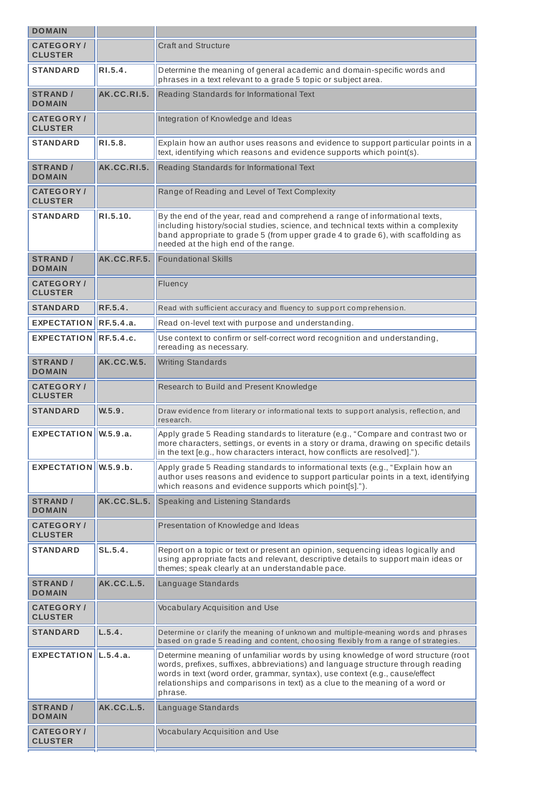| <b>DOMAIN</b>                       |                    |                                                                                                                                                                                                                                                                                                                                                 |
|-------------------------------------|--------------------|-------------------------------------------------------------------------------------------------------------------------------------------------------------------------------------------------------------------------------------------------------------------------------------------------------------------------------------------------|
| <b>CATEGORY/</b><br><b>CLUSTER</b>  |                    | <b>Craft and Structure</b>                                                                                                                                                                                                                                                                                                                      |
| STANDARD                            | R1.5.4.            | Determine the meaning of general academic and domain-specific words and<br>phrases in a text relevant to a grade 5 topic or subject area.                                                                                                                                                                                                       |
| <b>STRAND /</b><br><b>DOMAIN</b>    | AK.CC.RI.5.        | Reading Standards for Informational Text                                                                                                                                                                                                                                                                                                        |
| <b>CATEGORY /</b><br><b>CLUSTER</b> |                    | Integration of Knowledge and Ideas                                                                                                                                                                                                                                                                                                              |
| <b>STANDARD</b>                     | RI.5.8.            | Explain how an author uses reasons and evidence to support particular points in a<br>text, identifying which reasons and evidence supports which point(s).                                                                                                                                                                                      |
| <b>STRAND /</b><br><b>DOMAIN</b>    | <b>AK.CC.RI.5.</b> | Reading Standards for Informational Text                                                                                                                                                                                                                                                                                                        |
| <b>CATEGORY /</b><br><b>CLUSTER</b> |                    | Range of Reading and Level of Text Complexity                                                                                                                                                                                                                                                                                                   |
| <b>STANDARD</b>                     | RI.5.10.           | By the end of the year, read and comprehend a range of informational texts,<br>including history/social studies, science, and technical texts within a complexity<br>band appropriate to grade 5 (from upper grade 4 to grade 6), with scaffolding as<br>needed at the high end of the range.                                                   |
| <b>STRAND /</b><br><b>DOMAIN</b>    | AK.CC.RF.5.        | <b>Foundational Skills</b>                                                                                                                                                                                                                                                                                                                      |
| <b>CATEGORY</b> /<br><b>CLUSTER</b> |                    | Fluency                                                                                                                                                                                                                                                                                                                                         |
| <b>STANDARD</b>                     | <b>RF.5.4.</b>     | Read with sufficient accuracy and fluency to support comprehension.                                                                                                                                                                                                                                                                             |
| <b>EXPECTATION</b>                  | RF.5.4.a.          | Read on-level text with purpose and understanding.                                                                                                                                                                                                                                                                                              |
| <b>EXPECTATION</b>                  | <b>RF.5.4.c.</b>   | Use context to confirm or self-correct word recognition and understanding,<br>rereading as necessary.                                                                                                                                                                                                                                           |
| <b>STRAND /</b><br><b>DOMAIN</b>    | <b>AK.CC.W.5.</b>  | <b>Writing Standards</b>                                                                                                                                                                                                                                                                                                                        |
| <b>CATEGORY/</b><br><b>CLUSTER</b>  |                    | Research to Build and Present Knowledge                                                                                                                                                                                                                                                                                                         |
| <b>STANDARD</b>                     | W.5.9.             | Draw evidence from literary or informational texts to support analysis, reflection, and<br>research.                                                                                                                                                                                                                                            |
| $EXPECTATION$ W.5.9.a.              |                    | Apply grade 5 Reading standards to literature (e.g., "Compare and contrast two or<br>more characters, settings, or events in a story or drama, drawing on specific details<br>in the text [e.g., how characters interact, how conflicts are resolved].").                                                                                       |
| <b>EXPECTATION</b>                  | W.5.9.b.           | Apply grade 5 Reading standards to informational texts (e.g., "Explain how an<br>author uses reasons and evidence to support particular points in a text, identifying<br>which reasons and evidence supports which point[s].").                                                                                                                 |
| <b>STRAND /</b><br><b>DOMAIN</b>    | AK.CC.SL.5.        | Speaking and Listening Standards                                                                                                                                                                                                                                                                                                                |
| <b>CATEGORY/</b><br><b>CLUSTER</b>  |                    | Presentation of Knowledge and Ideas                                                                                                                                                                                                                                                                                                             |
| <b>STANDARD</b>                     | SL.5.4.            | Report on a topic or text or present an opinion, sequencing ideas logically and<br>using appropriate facts and relevant, descriptive details to support main ideas or<br>themes; speak clearly at an understandable pace.                                                                                                                       |
| <b>STRAND /</b><br><b>DOMAIN</b>    | <b>AK.CC.L.5.</b>  | Language Standards                                                                                                                                                                                                                                                                                                                              |
| <b>CATEGORY/</b><br><b>CLUSTER</b>  |                    | Vocabulary Acquisition and Use                                                                                                                                                                                                                                                                                                                  |
| <b>STANDARD</b>                     | L.5.4.             | Determine or clarify the meaning of unknown and multiple-meaning words and phrases<br>based on grade 5 reading and content, choosing flexibly from a range of strategies.                                                                                                                                                                       |
| EXPECTATION $\vert$ L.5.4.a.        |                    | Determine meaning of unfamiliar words by using knowledge of word structure (root<br>words, prefixes, suffixes, abbreviations) and language structure through reading<br>words in text (word order, grammar, syntax), use context (e.g., cause/effect<br>relationships and comparisons in text) as a clue to the meaning of a word or<br>phrase. |
| <b>STRAND /</b><br><b>DOMAIN</b>    | <b>AK.CC.L.5.</b>  | Language Standards                                                                                                                                                                                                                                                                                                                              |
| <b>CATEGORY/</b><br><b>CLUSTER</b>  |                    | Vocabulary Acquisition and Use                                                                                                                                                                                                                                                                                                                  |